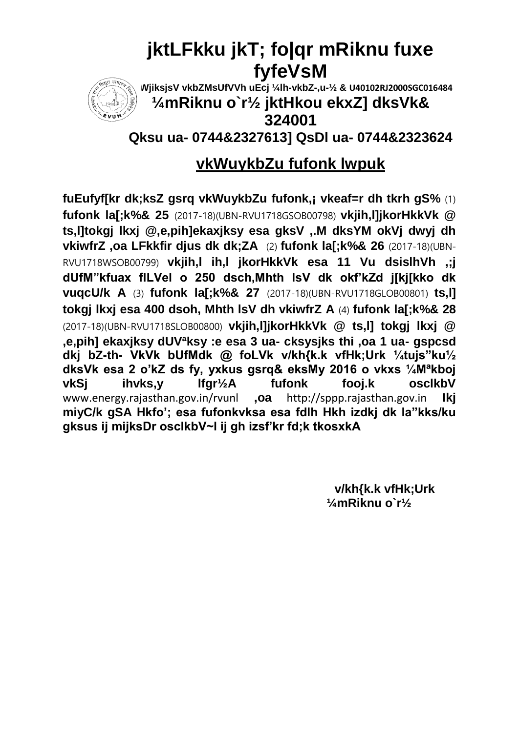# **jktLFkku jkT; fo|qr mRiknu fuxe fyfeVsM**



**dkWjiksjsV vkbZMsUfVVh uEcj ¼lh-vkbZ-,u-½ & U40102RJ2000SGC016484**

### **¼mRiknu o`r½ jktHkou ekxZ] dksVk& 324001**

**Qksu ua- 0744&2327613] QsDl ua- 0744&2323624**

### **vkWuykbZu fufonk lwpuk**

**fuEufyf[kr dk;ksZ gsrq vkWuykbZu fufonk,¡ vkeaf=r dh tkrh gS%** (1) **fufonk la[;k%& 25** (2017-18)(UBN-RVU1718GSOB00798) **vkjih,l]jkorHkkVk @ ts,l]tokgj lkxj @,e,pih]ekaxjksy esa gksV ,.M dksYM okVj dwyj dh vkiwfrZ ,oa LFkkfir djus dk dk;ZA** (2) **fufonk la[;k%& 26** (2017-18)(UBN-RVU1718WSOB00799) **vkjih,l ih,l jkorHkkVk esa 11 Vu dsislhVh ,;j dUfM"kfuax flLVel o 250 dsch,Mhth lsV dk okf'kZd j[kj[kko dk vuqcU/k A** (3) **fufonk la[;k%& 27** (2017-18)(UBN-RVU1718GLOB00801) **ts,l] tokgj lkxj esa 400 dsoh, Mhth lsV dh vkiwfrZ A** (4) **fufonk la[;k%& 28**  (2017-18)(UBN-RVU1718SLOB00800) **vkjih,l]jkorHkkVk @ ts,l] tokgj lkxj @ ,e,pih] ekaxjksy dUVªksy :e esa 3 ua- cksysjks thi ,oa 1 ua- gspcsd dkj bZ-th- VkVk bUfMdk @ foLVk v/kh{k.k vfHk;Urk ¼tujs"ku½ dksVk esa 2 o'kZ ds fy, yxkus gsrq& eksMy 2016 o vkxs ¼Mªkboj vkSj ihvks,y lfgr½A fufonk fooj.k osclkbV** www.energy.rajasthan.gov.in/rvunl **,oa** http://sppp.rajasthan.gov.in **Ikj miyC/k gSA Hkfo'; esa fufonkvksa esa fdlh Hkh izdkj dk la"kks/ku gksus ij mijksDr osclkbV~l ij gh izsf'kr fd;k tkosxkA** 

> **v/kh{k.k vfHk;Urk ¼mRiknu o`r½**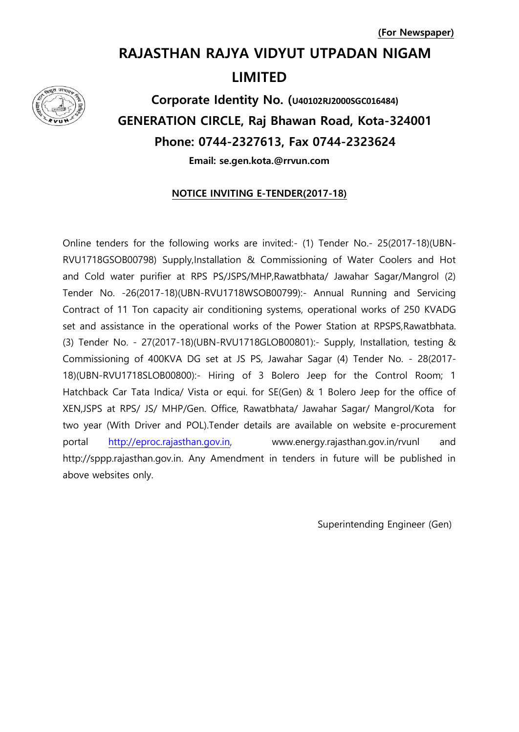### **RAJASTHAN RAJYA VIDYUT UTPADAN NIGAM LIMITED**



**Corporate Identity No. (U40102RJ2000SGC016484) GENERATION CIRCLE, Raj Bhawan Road, Kota-324001 Phone: 0744-2327613, Fax 0744-2323624**

**Email: se.gen.kota.@rrvun.com** 

### **NOTICE INVITING E-TENDER(2017-18)**

Online tenders for the following works are invited:- (1) Tender No.- 25(2017-18)(UBN-RVU1718GSOB00798) Supply,Installation & Commissioning of Water Coolers and Hot and Cold water purifier at RPS PS/JSPS/MHP,Rawatbhata/ Jawahar Sagar/Mangrol (2) Tender No. -26(2017-18)(UBN-RVU1718WSOB00799):- Annual Running and Servicing Contract of 11 Ton capacity air conditioning systems, operational works of 250 KVADG set and assistance in the operational works of the Power Station at RPSPS,Rawatbhata. (3) Tender No. - 27(2017-18)(UBN-RVU1718GLOB00801):- Supply, Installation, testing & Commissioning of 400KVA DG set at JS PS, Jawahar Sagar (4) Tender No. - 28(2017- 18)(UBN-RVU1718SLOB00800):- Hiring of 3 Bolero Jeep for the Control Room; 1 Hatchback Car Tata Indica/ Vista or equi. for SE(Gen) & 1 Bolero Jeep for the office of XEN,JSPS at RPS/ JS/ MHP/Gen. Office, Rawatbhata/ Jawahar Sagar/ Mangrol/Kota for two year (With Driver and POL).Tender details are available on website e-procurement portal [http://eproc.rajasthan.gov.in,](http://eproc.rajasthan.gov.in/) www.energy.rajasthan.gov.in/rvunl http://sppp.rajasthan.gov.in. Any Amendment in tenders in future will be published in above websites only.

Superintending Engineer (Gen)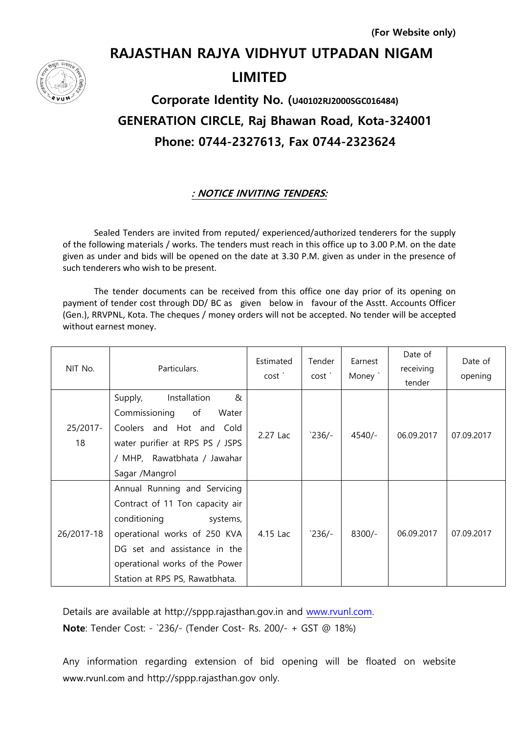# **RAJASTHAN RAJYA VIDHYUT UTPADAN NIGAM LIMITED**

**Corporate Identity No. (U40102RJ2000SGC016484) GENERATION CIRCLE, Raj Bhawan Road, Kota-324001 Phone: 0744-2327613, Fax 0744-2323624**

### **: NOTICE INVITING TENDERS:**

Sealed Tenders are invited from reputed/ experienced/authorized tenderers for the supply of the following materials / works. The tenders must reach in this office up to 3.00 P.M. on the date given as under and bids will be opened on the date at 3.30 P.M. given as under in the presence of such tenderers who wish to be present.

The tender documents can be received from this office one day prior of its opening on payment of tender cost through DD/ BC as given below in favour of the Asstt. Accounts Officer (Gen.), RRVPNL, Kota. The cheques / money orders will not be accepted. No tender will be accepted without earnest money.

| NIT No.        | Particulars.                                                                                                                                                                                                                    | Estimated<br>cost ` | Tender<br>cost ` | Earnest<br>Money ` | Date of<br>receiving<br>tender | Date of<br>opening |
|----------------|---------------------------------------------------------------------------------------------------------------------------------------------------------------------------------------------------------------------------------|---------------------|------------------|--------------------|--------------------------------|--------------------|
| 25/2017-<br>18 | Installation<br>&<br>Supply,<br>Commissioning<br>of<br>Water<br>Coolers and Hot and Cold<br>water purifier at RPS PS / JSPS<br>/ MHP, Rawatbhata / Jawahar<br>Sagar /Mangrol                                                    | 2.27 Lac            | $236/-$          | $4540/-$           | 06.09.2017                     | 07.09.2017         |
| 26/2017-18     | Annual Running and Servicing<br>Contract of 11 Ton capacity air<br>conditioning<br>systems,<br>operational works of 250 KVA<br>DG set and assistance in the<br>operational works of the Power<br>Station at RPS PS, Rawatbhata. | 4.15 Lac            | $236/-$          | $8300/-$           | 06.09.2017                     | 07.09.2017         |

Details are available at http://sppp.rajasthan.gov.in and [www.rvunl.com.](http://www.rvunl.com/) **Note**: Tender Cost: - `236/- (Tender Cost- Rs. 200/- + GST @ 18%)

Any information regarding extension of bid opening will be floated on website www.rvunl.com and http://sppp.rajasthan.gov only.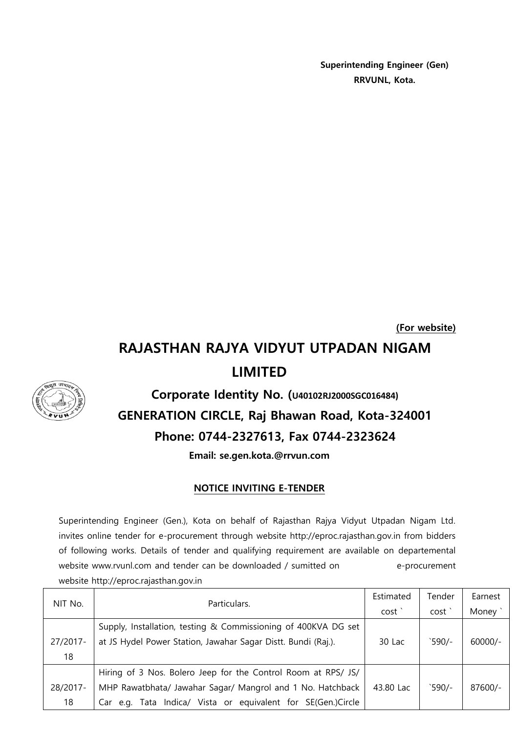**Superintending Engineer (Gen) RRVUNL, Kota.**

**(For website)**

## **RAJASTHAN RAJYA VIDYUT UTPADAN NIGAM LIMITED**



**Corporate Identity No. (U40102RJ2000SGC016484) GENERATION CIRCLE, Raj Bhawan Road, Kota-324001 Phone: 0744-2327613, Fax 0744-2323624**

**Email: se.gen.kota.@rrvun.com**

### **NOTICE INVITING E-TENDER**

Superintending Engineer (Gen.), Kota on behalf of Rajasthan Rajya Vidyut Utpadan Nigam Ltd. invites online tender for e-procurement through website http://eproc.rajasthan.gov.in from bidders of following works. Details of tender and qualifying requirement are available on departemental website www.rvunl.com and tender can be downloaded / sumitted on e-procurement website http://eproc.rajasthan.gov.in

| NIT No.  | Particulars.                                                   | Estimated         | Tender  | Earnest   |
|----------|----------------------------------------------------------------|-------------------|---------|-----------|
|          |                                                                | cost <sup>'</sup> | cost'   | Money     |
|          | Supply, Installation, testing & Commissioning of 400KVA DG set |                   |         |           |
| 27/2017- | at JS Hydel Power Station, Jawahar Sagar Distt. Bundi (Raj.).  | 30 Lac            | `590/-  | $60000/-$ |
| 18       |                                                                |                   |         |           |
|          | Hiring of 3 Nos. Bolero Jeep for the Control Room at RPS/ JS/  |                   |         |           |
| 28/2017- | MHP Rawatbhata/ Jawahar Sagar/ Mangrol and 1 No. Hatchback     | 43.80 Lac         | $590/-$ | 87600/-   |
| 18       | Car e.g. Tata Indica/ Vista or equivalent for SE(Gen.)Circle   |                   |         |           |